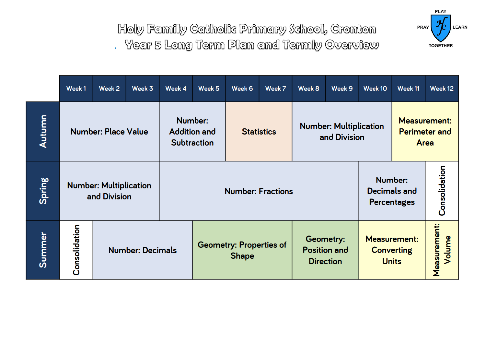

Holy Family Catholic Primary School, Cronton . Year 5 Long Term Plan and Termly Overview

|        | Week1                                         | Week 2                  | Week 3 | Week 4                                                                    | Week <sub>5</sub>                              | Week 6                                        | Week 7 | Week 8                                                         | Week 9                                                     | Week 10                                                  | Week 11 | Week 12                       |
|--------|-----------------------------------------------|-------------------------|--------|---------------------------------------------------------------------------|------------------------------------------------|-----------------------------------------------|--------|----------------------------------------------------------------|------------------------------------------------------------|----------------------------------------------------------|---------|-------------------------------|
| Autumn | <b>Number: Place Value</b>                    |                         |        | Number:<br><b>Addition and</b><br><b>Statistics</b><br><b>Subtraction</b> |                                                | <b>Number: Multiplication</b><br>and Division |        |                                                                | <b>Measurement:</b><br><b>Perimeter and</b><br><b>Area</b> |                                                          |         |                               |
| Spring | <b>Number: Multiplication</b><br>and Division |                         |        |                                                                           | <b>Number: Fractions</b>                       |                                               |        | Consolidation<br>Number:<br>Decimals and<br><b>Percentages</b> |                                                            |                                                          |         |                               |
| Summer | Consolidation                                 | <b>Number: Decimals</b> |        |                                                                           | <b>Geometry: Properties of</b><br><b>Shape</b> |                                               |        |                                                                | Geometry:<br><b>Position and</b><br><b>Direction</b>       | <b>Measurement:</b><br><b>Converting</b><br><b>Units</b> |         | <b>Measurement:</b><br>Volume |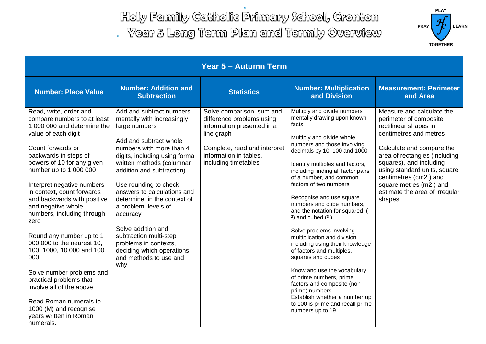Holy Family Catholic Primary School, Cronton

. Year 5 Long Term Plan and Termly Overview



| <b>Year 5 - Autumn Term</b>                                                                                                                                                                                                                                                                                                                                                                                                                                                                                                                                                                                                                           |                                                                                                                                                                                                                                                                                                                                                                                                                                                                                               |                                                                                                                                                                                      |                                                                                                                                                                                                                                                                                                                                                                                                                                                                                                                                                                                                                                                                                                                                                                      |                                                                                                                                                                                                                                                                                                                                |  |  |  |
|-------------------------------------------------------------------------------------------------------------------------------------------------------------------------------------------------------------------------------------------------------------------------------------------------------------------------------------------------------------------------------------------------------------------------------------------------------------------------------------------------------------------------------------------------------------------------------------------------------------------------------------------------------|-----------------------------------------------------------------------------------------------------------------------------------------------------------------------------------------------------------------------------------------------------------------------------------------------------------------------------------------------------------------------------------------------------------------------------------------------------------------------------------------------|--------------------------------------------------------------------------------------------------------------------------------------------------------------------------------------|----------------------------------------------------------------------------------------------------------------------------------------------------------------------------------------------------------------------------------------------------------------------------------------------------------------------------------------------------------------------------------------------------------------------------------------------------------------------------------------------------------------------------------------------------------------------------------------------------------------------------------------------------------------------------------------------------------------------------------------------------------------------|--------------------------------------------------------------------------------------------------------------------------------------------------------------------------------------------------------------------------------------------------------------------------------------------------------------------------------|--|--|--|
| <b>Number: Place Value</b>                                                                                                                                                                                                                                                                                                                                                                                                                                                                                                                                                                                                                            | <b>Number: Addition and</b><br><b>Subtraction</b>                                                                                                                                                                                                                                                                                                                                                                                                                                             | <b>Statistics</b>                                                                                                                                                                    | <b>Number: Multiplication</b><br>and Division                                                                                                                                                                                                                                                                                                                                                                                                                                                                                                                                                                                                                                                                                                                        | <b>Measurement: Perimeter</b><br>and Area                                                                                                                                                                                                                                                                                      |  |  |  |
| Read, write, order and<br>compare numbers to at least<br>1 000 000 and determine the<br>value of each digit<br>Count forwards or<br>backwards in steps of<br>powers of 10 for any given<br>number up to 1 000 000<br>Interpret negative numbers<br>in context, count forwards<br>and backwards with positive<br>and negative whole<br>numbers, including through<br>zero<br>Round any number up to 1<br>000 000 to the nearest 10,<br>100, 1000, 10 000 and 100<br>000<br>Solve number problems and<br>practical problems that<br>involve all of the above<br>Read Roman numerals to<br>1000 (M) and recognise<br>years written in Roman<br>numerals. | Add and subtract numbers<br>mentally with increasingly<br>large numbers<br>Add and subtract whole<br>numbers with more than 4<br>digits, including using formal<br>written methods (columnar<br>addition and subtraction)<br>Use rounding to check<br>answers to calculations and<br>determine, in the context of<br>a problem, levels of<br>accuracy<br>Solve addition and<br>subtraction multi-step<br>problems in contexts,<br>deciding which operations<br>and methods to use and<br>why. | Solve comparison, sum and<br>difference problems using<br>information presented in a<br>line graph<br>Complete, read and interpret<br>information in tables,<br>including timetables | Multiply and divide numbers<br>mentally drawing upon known<br>facts<br>Multiply and divide whole<br>numbers and those involving<br>decimals by 10, 100 and 1000<br>Identify multiples and factors,<br>including finding all factor pairs<br>of a number, and common<br>factors of two numbers<br>Recognise and use square<br>numbers and cube numbers,<br>and the notation for squared (<br>$2)$ and cubed $(3)$<br>Solve problems involving<br>multiplication and division<br>including using their knowledge<br>of factors and multiples,<br>squares and cubes<br>Know and use the vocabulary<br>of prime numbers, prime<br>factors and composite (non-<br>prime) numbers<br>Establish whether a number up<br>to 100 is prime and recall prime<br>numbers up to 19 | Measure and calculate the<br>perimeter of composite<br>rectilinear shapes in<br>centimetres and metres<br>Calculate and compare the<br>area of rectangles (including<br>squares), and including<br>using standard units, square<br>centimetres (cm2) and<br>square metres (m2) and<br>estimate the area of irregular<br>shapes |  |  |  |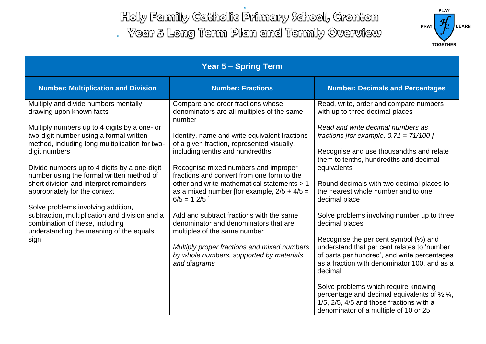Holy Family Catholic Primary School, Cronton

. Year 5 Long Term Plan and Termly Overview



| <b>Year 5 - Spring Term</b>                                                                                                                                                                                                                                                                                                                                                                                                                                                                                                                                                           |                                                                                                                                                                                                                                                                                                                                                                                                                                                                                                                                                                                                                                                                   |                                                                                                                                                                                                                                                                                                                                                                                                                                                                                                                                                                                                                                                                                                                                                                                                                                                 |  |  |  |  |
|---------------------------------------------------------------------------------------------------------------------------------------------------------------------------------------------------------------------------------------------------------------------------------------------------------------------------------------------------------------------------------------------------------------------------------------------------------------------------------------------------------------------------------------------------------------------------------------|-------------------------------------------------------------------------------------------------------------------------------------------------------------------------------------------------------------------------------------------------------------------------------------------------------------------------------------------------------------------------------------------------------------------------------------------------------------------------------------------------------------------------------------------------------------------------------------------------------------------------------------------------------------------|-------------------------------------------------------------------------------------------------------------------------------------------------------------------------------------------------------------------------------------------------------------------------------------------------------------------------------------------------------------------------------------------------------------------------------------------------------------------------------------------------------------------------------------------------------------------------------------------------------------------------------------------------------------------------------------------------------------------------------------------------------------------------------------------------------------------------------------------------|--|--|--|--|
| <b>Number: Multiplication and Division</b>                                                                                                                                                                                                                                                                                                                                                                                                                                                                                                                                            | <b>Number: Fractions</b>                                                                                                                                                                                                                                                                                                                                                                                                                                                                                                                                                                                                                                          | <b>Number: Decimals and Percentages</b>                                                                                                                                                                                                                                                                                                                                                                                                                                                                                                                                                                                                                                                                                                                                                                                                         |  |  |  |  |
| Multiply and divide numbers mentally<br>drawing upon known facts<br>Multiply numbers up to 4 digits by a one- or<br>two-digit number using a formal written<br>method, including long multiplication for two-<br>digit numbers<br>Divide numbers up to 4 digits by a one-digit<br>number using the formal written method of<br>short division and interpret remainders<br>appropriately for the context<br>Solve problems involving addition,<br>subtraction, multiplication and division and a<br>combination of these, including<br>understanding the meaning of the equals<br>sign | Compare and order fractions whose<br>denominators are all multiples of the same<br>number<br>Identify, name and write equivalent fractions<br>of a given fraction, represented visually,<br>including tenths and hundredths<br>Recognise mixed numbers and improper<br>fractions and convert from one form to the<br>other and write mathematical statements > 1<br>as a mixed number [for example, $2/5 + 4/5 =$<br>$6/5 = 12/5$<br>Add and subtract fractions with the same<br>denominator and denominators that are<br>multiples of the same number<br>Multiply proper fractions and mixed numbers<br>by whole numbers, supported by materials<br>and diagrams | Read, write, order and compare numbers<br>with up to three decimal places<br>Read and write decimal numbers as<br>fractions [for example, $0.71 = 71/100$ ]<br>Recognise and use thousandths and relate<br>them to tenths, hundredths and decimal<br>equivalents<br>Round decimals with two decimal places to<br>the nearest whole number and to one<br>decimal place<br>Solve problems involving number up to three<br>decimal places<br>Recognise the per cent symbol (%) and<br>understand that per cent relates to 'number<br>of parts per hundred', and write percentages<br>as a fraction with denominator 100, and as a<br>decimal<br>Solve problems which require knowing<br>percentage and decimal equivalents of $\frac{1}{2}$ , $\frac{1}{4}$ ,<br>1/5, 2/5, 4/5 and those fractions with a<br>denominator of a multiple of 10 or 25 |  |  |  |  |